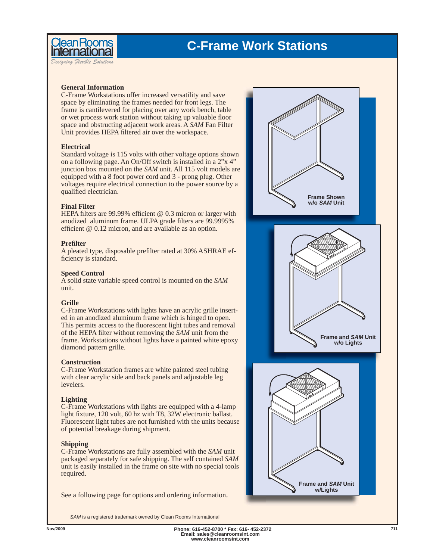



*Designing Flexible Solutions*

## **General Information**

C-Frame Workstations offer increased versatility and save space by eliminating the frames needed for front legs. The frame is cantilevered for placing over any work bench, table or wet process work station without taking up valuable floor space and obstructing adjacent work areas. A *SAM* Fan Filter Unit provides HEPA filtered air over the workspace.

## **Electrical**

Standard voltage is 115 volts with other voltage options shown on a following page. An On/Off switch is installed in a 2"x 4" junction box mounted on the *SAM* unit. All 115 volt models are equipped with a 8 foot power cord and 3 - prong plug. Other voltages require electrical connection to the power source by a qualified electrician.

## **Final Filter**

HEPA filters are 99.99% efficient  $@$  0.3 micron or larger with anodized aluminum frame. ULPA grade filters are 99.9995% efficient  $@$  0.12 micron, and are available as an option.

## **Prefi lter**

A pleated type, disposable prefilter rated at 30% ASHRAE efficiency is standard.

## **Speed Control**

A solid state variable speed control is mounted on the *SAM* unit.

## **Grille**

C-Frame Workstations with lights have an acrylic grille inserted in an anodized aluminum frame which is hinged to open. This permits access to the fluorescent light tubes and removal of the HEPA filter without removing the *SAM* unit from the frame. Workstations without lights have a painted white epoxy diamond pattern grille.

## **Construction**

C-Frame Workstation frames are white painted steel tubing with clear acrylic side and back panels and adjustable leg levelers.

## **Lighting**

C-Frame Workstations with lights are equipped with a 4-lamp light fixture, 120 volt, 60 hz with T8, 32W electronic ballast. Fluorescent light tubes are not furnished with the units because of potential breakage during shipment.

## **Shipping**

C-Frame Workstations are fully assembled with the *SAM* unit packaged separately for safe shipping. The self contained *SAM* unit is easily installed in the frame on site with no special tools required.

See a following page for options and ordering information.